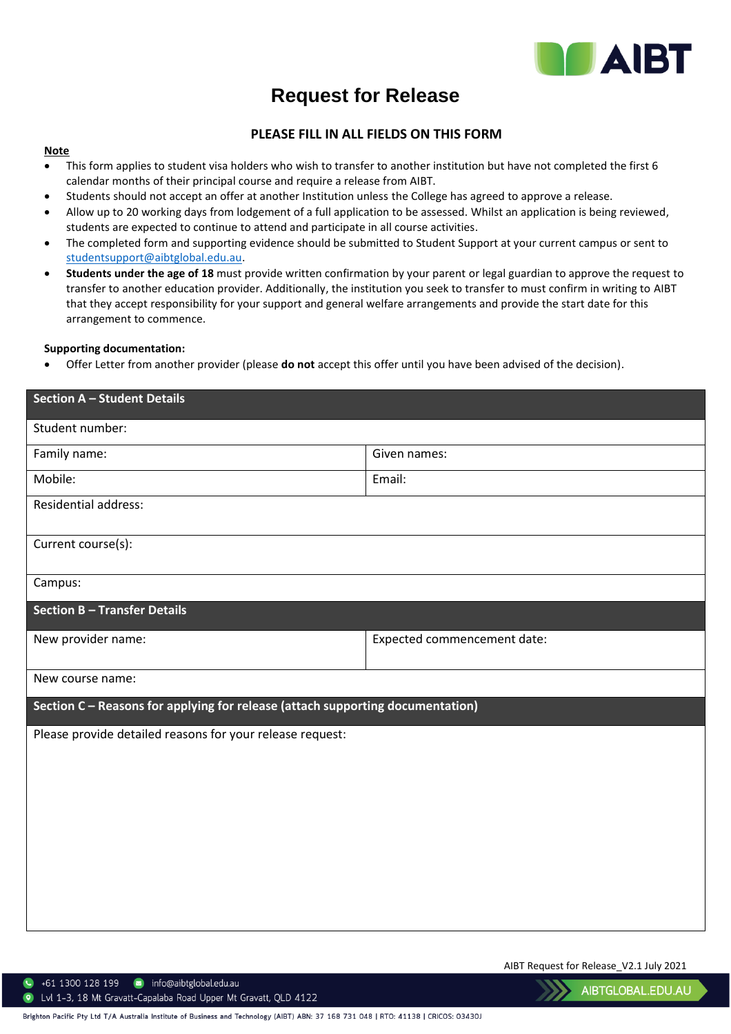

# **Request for Release**

## **PLEASE FILL IN ALL FIELDS ON THIS FORM**

#### **Note**

- This form applies to student visa holders who wish to transfer to another institution but have not completed the first 6 calendar months of their principal course and require a release from AIBT.
- Students should not accept an offer at another Institution unless the College has agreed to approve a release.
- Allow up to 20 working days from lodgement of a full application to be assessed. Whilst an application is being reviewed, students are expected to continue to attend and participate in all course activities.
- The completed form and supporting evidence should be submitted to Student Support at your current campus or sent to [studentsupport@aibtglobal.edu.au.](mailto:studentsupport@aibtglobal.edu.au)
- **Students under the age of 18** must provide written confirmation by your parent or legal guardian to approve the request to transfer to another education provider. Additionally, the institution you seek to transfer to must confirm in writing to AIBT that they accept responsibility for your support and general welfare arrangements and provide the start date for this arrangement to commence.

#### **Supporting documentation:**

• Offer Letter from another provider (please **do not** accept this offer until you have been advised of the decision).

| <b>Section A - Student Details</b>                                             |                             |  |
|--------------------------------------------------------------------------------|-----------------------------|--|
| Student number:                                                                |                             |  |
| Family name:                                                                   | Given names:                |  |
| Mobile:                                                                        | Email:                      |  |
| Residential address:                                                           |                             |  |
| Current course(s):                                                             |                             |  |
| Campus:                                                                        |                             |  |
| <b>Section B - Transfer Details</b>                                            |                             |  |
| New provider name:                                                             | Expected commencement date: |  |
| New course name:                                                               |                             |  |
| Section C - Reasons for applying for release (attach supporting documentation) |                             |  |
| Please provide detailed reasons for your release request:                      |                             |  |
|                                                                                |                             |  |
|                                                                                |                             |  |
|                                                                                |                             |  |
|                                                                                |                             |  |
|                                                                                |                             |  |
|                                                                                |                             |  |
|                                                                                |                             |  |

AIBT Request for Release\_V2.1 July 2021

 $\bullet$  +61 1300 128 199  $\bullet$  info@aibtglobal.edu.au 122 Lvl 1-3, 18 Mt Gravatt-Capalaba Road Upper Mt Gravatt, QLD 4122